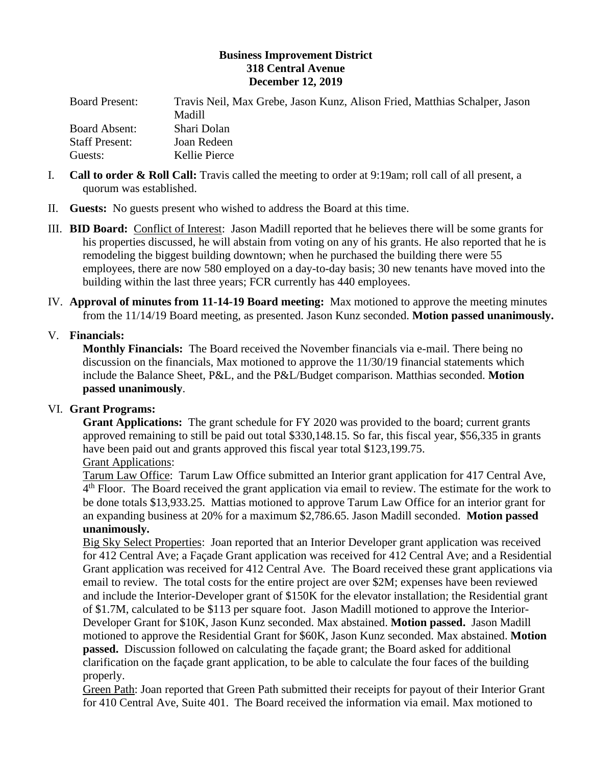### **Business Improvement District 318 Central Avenue December 12, 2019**

| <b>Board Present:</b> | Travis Neil, Max Grebe, Jason Kunz, Alison Fried, Matthias Schalper, Jason |
|-----------------------|----------------------------------------------------------------------------|
|                       | Madill                                                                     |
| Board Absent:         | Shari Dolan                                                                |
| <b>Staff Present:</b> | Joan Redeen                                                                |
| Guests:               | Kellie Pierce                                                              |

- I. **Call to order & Roll Call:** Travis called the meeting to order at 9:19am; roll call of all present, a quorum was established.
- II. **Guests:** No guests present who wished to address the Board at this time.
- III. **BID Board:** Conflict of Interest: Jason Madill reported that he believes there will be some grants for his properties discussed, he will abstain from voting on any of his grants. He also reported that he is remodeling the biggest building downtown; when he purchased the building there were 55 employees, there are now 580 employed on a day-to-day basis; 30 new tenants have moved into the building within the last three years; FCR currently has 440 employees.
- IV. **Approval of minutes from 11-14-19 Board meeting:** Max motioned to approve the meeting minutes from the 11/14/19 Board meeting, as presented. Jason Kunz seconded. **Motion passed unanimously.**

## V. **Financials:**

**Monthly Financials:** The Board received the November financials via e-mail. There being no discussion on the financials, Max motioned to approve the 11/30/19 financial statements which include the Balance Sheet, P&L, and the P&L/Budget comparison. Matthias seconded. **Motion passed unanimously**.

## VI. **Grant Programs:**

**Grant Applications:** The grant schedule for FY 2020 was provided to the board; current grants approved remaining to still be paid out total \$330,148.15. So far, this fiscal year, \$56,335 in grants have been paid out and grants approved this fiscal year total \$123,199.75.

# Grant Applications:

Tarum Law Office: Tarum Law Office submitted an Interior grant application for 417 Central Ave, 4<sup>th</sup> Floor. The Board received the grant application via email to review. The estimate for the work to be done totals \$13,933.25. Mattias motioned to approve Tarum Law Office for an interior grant for an expanding business at 20% for a maximum \$2,786.65. Jason Madill seconded. **Motion passed unanimously.** 

Big Sky Select Properties: Joan reported that an Interior Developer grant application was received for 412 Central Ave; a Façade Grant application was received for 412 Central Ave; and a Residential Grant application was received for 412 Central Ave. The Board received these grant applications via email to review. The total costs for the entire project are over \$2M; expenses have been reviewed and include the Interior-Developer grant of \$150K for the elevator installation; the Residential grant of \$1.7M, calculated to be \$113 per square foot. Jason Madill motioned to approve the Interior-Developer Grant for \$10K, Jason Kunz seconded. Max abstained. **Motion passed.** Jason Madill motioned to approve the Residential Grant for \$60K, Jason Kunz seconded. Max abstained. **Motion passed.** Discussion followed on calculating the façade grant; the Board asked for additional clarification on the façade grant application, to be able to calculate the four faces of the building properly.

Green Path: Joan reported that Green Path submitted their receipts for payout of their Interior Grant for 410 Central Ave, Suite 401. The Board received the information via email. Max motioned to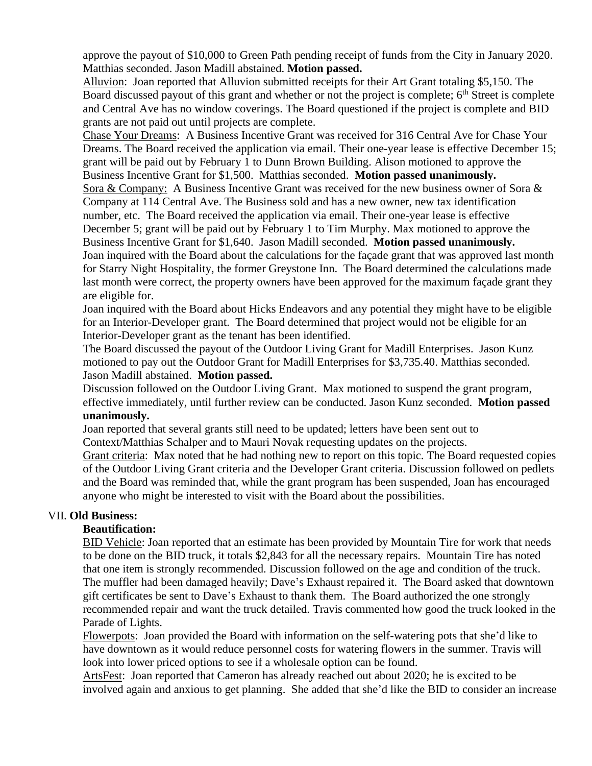approve the payout of \$10,000 to Green Path pending receipt of funds from the City in January 2020. Matthias seconded. Jason Madill abstained. **Motion passed.**

Alluvion: Joan reported that Alluvion submitted receipts for their Art Grant totaling \$5,150. The Board discussed payout of this grant and whether or not the project is complete;  $6<sup>th</sup>$  Street is complete and Central Ave has no window coverings. The Board questioned if the project is complete and BID grants are not paid out until projects are complete.

Chase Your Dreams: A Business Incentive Grant was received for 316 Central Ave for Chase Your Dreams. The Board received the application via email. Their one-year lease is effective December 15; grant will be paid out by February 1 to Dunn Brown Building. Alison motioned to approve the Business Incentive Grant for \$1,500. Matthias seconded. **Motion passed unanimously.** Sora & Company: A Business Incentive Grant was received for the new business owner of Sora & Company at 114 Central Ave. The Business sold and has a new owner, new tax identification number, etc. The Board received the application via email. Their one-year lease is effective December 5; grant will be paid out by February 1 to Tim Murphy. Max motioned to approve the Business Incentive Grant for \$1,640. Jason Madill seconded. **Motion passed unanimously.** Joan inquired with the Board about the calculations for the façade grant that was approved last month for Starry Night Hospitality, the former Greystone Inn. The Board determined the calculations made last month were correct, the property owners have been approved for the maximum façade grant they are eligible for.

Joan inquired with the Board about Hicks Endeavors and any potential they might have to be eligible for an Interior-Developer grant. The Board determined that project would not be eligible for an Interior-Developer grant as the tenant has been identified.

The Board discussed the payout of the Outdoor Living Grant for Madill Enterprises. Jason Kunz motioned to pay out the Outdoor Grant for Madill Enterprises for \$3,735.40. Matthias seconded. Jason Madill abstained. **Motion passed.** 

Discussion followed on the Outdoor Living Grant. Max motioned to suspend the grant program, effective immediately, until further review can be conducted. Jason Kunz seconded. **Motion passed unanimously.** 

Joan reported that several grants still need to be updated; letters have been sent out to Context/Matthias Schalper and to Mauri Novak requesting updates on the projects.

Grant criteria: Max noted that he had nothing new to report on this topic. The Board requested copies of the Outdoor Living Grant criteria and the Developer Grant criteria. Discussion followed on pedlets and the Board was reminded that, while the grant program has been suspended, Joan has encouraged anyone who might be interested to visit with the Board about the possibilities.

## VII. **Old Business:**

#### **Beautification:**

BID Vehicle: Joan reported that an estimate has been provided by Mountain Tire for work that needs to be done on the BID truck, it totals \$2,843 for all the necessary repairs. Mountain Tire has noted that one item is strongly recommended. Discussion followed on the age and condition of the truck. The muffler had been damaged heavily; Dave's Exhaust repaired it. The Board asked that downtown gift certificates be sent to Dave's Exhaust to thank them. The Board authorized the one strongly recommended repair and want the truck detailed. Travis commented how good the truck looked in the Parade of Lights.

Flowerpots: Joan provided the Board with information on the self-watering pots that she'd like to have downtown as it would reduce personnel costs for watering flowers in the summer. Travis will look into lower priced options to see if a wholesale option can be found.

ArtsFest: Joan reported that Cameron has already reached out about 2020; he is excited to be involved again and anxious to get planning. She added that she'd like the BID to consider an increase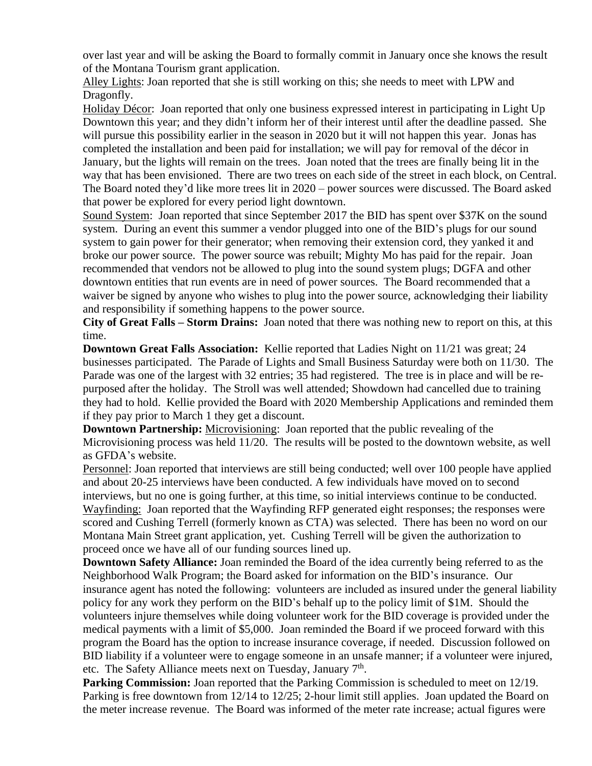over last year and will be asking the Board to formally commit in January once she knows the result of the Montana Tourism grant application.

Alley Lights: Joan reported that she is still working on this; she needs to meet with LPW and Dragonfly.

Holiday Décor: Joan reported that only one business expressed interest in participating in Light Up Downtown this year; and they didn't inform her of their interest until after the deadline passed. She will pursue this possibility earlier in the season in 2020 but it will not happen this year. Jonas has completed the installation and been paid for installation; we will pay for removal of the décor in January, but the lights will remain on the trees. Joan noted that the trees are finally being lit in the way that has been envisioned. There are two trees on each side of the street in each block, on Central. The Board noted they'd like more trees lit in 2020 – power sources were discussed. The Board asked that power be explored for every period light downtown.

Sound System: Joan reported that since September 2017 the BID has spent over \$37K on the sound system. During an event this summer a vendor plugged into one of the BID's plugs for our sound system to gain power for their generator; when removing their extension cord, they yanked it and broke our power source. The power source was rebuilt; Mighty Mo has paid for the repair. Joan recommended that vendors not be allowed to plug into the sound system plugs; DGFA and other downtown entities that run events are in need of power sources. The Board recommended that a waiver be signed by anyone who wishes to plug into the power source, acknowledging their liability and responsibility if something happens to the power source.

**City of Great Falls – Storm Drains:** Joan noted that there was nothing new to report on this, at this time.

**Downtown Great Falls Association:** Kellie reported that Ladies Night on 11/21 was great; 24 businesses participated. The Parade of Lights and Small Business Saturday were both on 11/30. The Parade was one of the largest with 32 entries; 35 had registered. The tree is in place and will be repurposed after the holiday. The Stroll was well attended; Showdown had cancelled due to training they had to hold. Kellie provided the Board with 2020 Membership Applications and reminded them if they pay prior to March 1 they get a discount.

**Downtown Partnership:** Microvisioning: Joan reported that the public revealing of the Microvisioning process was held 11/20. The results will be posted to the downtown website, as well as GFDA's website.

Personnel: Joan reported that interviews are still being conducted; well over 100 people have applied and about 20-25 interviews have been conducted. A few individuals have moved on to second interviews, but no one is going further, at this time, so initial interviews continue to be conducted. Wayfinding: Joan reported that the Wayfinding RFP generated eight responses; the responses were scored and Cushing Terrell (formerly known as CTA) was selected. There has been no word on our Montana Main Street grant application, yet. Cushing Terrell will be given the authorization to proceed once we have all of our funding sources lined up.

**Downtown Safety Alliance:** Joan reminded the Board of the idea currently being referred to as the Neighborhood Walk Program; the Board asked for information on the BID's insurance. Our insurance agent has noted the following: volunteers are included as insured under the general liability policy for any work they perform on the BID's behalf up to the policy limit of \$1M. Should the volunteers injure themselves while doing volunteer work for the BID coverage is provided under the medical payments with a limit of \$5,000. Joan reminded the Board if we proceed forward with this program the Board has the option to increase insurance coverage, if needed. Discussion followed on BID liability if a volunteer were to engage someone in an unsafe manner; if a volunteer were injured, etc. The Safety Alliance meets next on Tuesday, January  $7<sup>th</sup>$ .

**Parking Commission:** Joan reported that the Parking Commission is scheduled to meet on 12/19. Parking is free downtown from 12/14 to 12/25; 2-hour limit still applies. Joan updated the Board on the meter increase revenue. The Board was informed of the meter rate increase; actual figures were